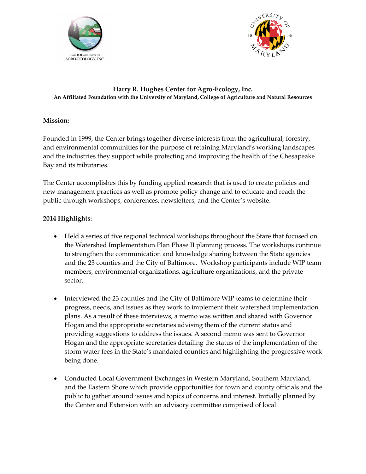



## **Harry R. Hughes Center for Agro-Ecology, Inc. An Affiliated Foundation with the University of Maryland, College of Agriculture and Natural Resources**

## **Mission:**

Founded in 1999, the Center brings together diverse interests from the agricultural, forestry, and environmental communities for the purpose of retaining Maryland's working landscapes and the industries they support while protecting and improving the health of the Chesapeake Bay and its tributaries.

The Center accomplishes this by funding applied research that is used to create policies and new management practices as well as promote policy change and to educate and reach the public through workshops, conferences, newsletters, and the Center's website.

## **2014 Highlights:**

- Held a series of five regional technical workshops throughout the Stare that focused on the Watershed Implementation Plan Phase II planning process. The workshops continue to strengthen the communication and knowledge sharing between the State agencies and the 23 counties and the City of Baltimore. Workshop participants include WIP team members, environmental organizations, agriculture organizations, and the private sector.
- Interviewed the 23 counties and the City of Baltimore WIP teams to determine their progress, needs, and issues as they work to implement their watershed implementation plans. As a result of these interviews, a memo was written and shared with Governor Hogan and the appropriate secretaries advising them of the current status and providing suggestions to address the issues. A second memo was sent to Governor Hogan and the appropriate secretaries detailing the status of the implementation of the storm water fees in the State's mandated counties and highlighting the progressive work being done.
- Conducted Local Government Exchanges in Western Maryland, Southern Maryland, and the Eastern Shore which provide opportunities for town and county officials and the public to gather around issues and topics of concerns and interest. Initially planned by the Center and Extension with an advisory committee comprised of local